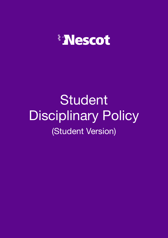

# Student Disciplinary Policy (Student Version)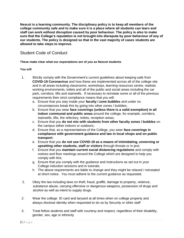**Nescot is a learning community. The disciplinary policy is to keep all members of the college community safe and to make sure it is a place where all students can learn and staff can work without disruption caused by poor behaviour. The policy is also to make sure that the College's reputation is not brought into disrepute by poor behaviour of any of our students. The policy is designed so that in the vast majority of cases students are allowed to take steps to improve.** 

## Student Code of Conduct

#### **These make clear what our expectations are of you as Nescot students**

#### **You will**

- 1. Strictly comply with the Government's current guidelines about keeping safe from **COVID-19 Coronavirus** and how these are implemented across all of the college site and in all areas including classrooms, workshops, learning resources centre, realistic working environments, toilets and all of the public and social areas including the car park, corridors, lifts and stairwells. If necessary to reinstate some or all of the previous requirements then strict compliance means that you will:
	- a. Ensure that you stay inside your **faculty / zone bubbles** and under no circumstances break this by going into other zones / bubbles;
	- b. Ensure that you wear **face coverings (unless there is a valid exemption) in all indoor communal and public areas** around the college, for example, corridors, stairwells, lifts, the refectory, toilets, reception areas;
	- c. Ensure that you **do not mix with students from other faculty zones / bubbles** on the campus either indoors or outdoors;
	- d. Ensure that, as a representatives of the College, you wear **face coverings in compliance with government guidance and law in local shops and on public transport**;
	- e. Ensure that you **do not use COVID-19 as a means of intimidating, unnerving or upsetting other students, staff or visitors** through threats or in jest;
	- f. Ensure that you **maintain current social distancing regulations** and comply with notices and floor markings around the College which are designed to help you comply with this;
	- g. Ensure that you comply with the guidance and instructions as set out in your College induction sessions and in tutorials.
	- h. The above requirements are liable to change and they might be relaxed / reinstated at short notice. You must adhere to the current guidance as requested.
- 2. Obey the law including laws on theft, fraud, graffiti, damage to property, violence, substance abuse, carrying offensive or dangerous weapons, possession of drugs and alcohol as well as intent to supply drugs.
- 2. Wear the college ID card and lanyard at all times when on college property and always disclose identity when requested to do so by Security or other staff
- 3. Treat fellow students and staff with courtesy and respect, regardless of their disability, gender, sex, age or ethnicity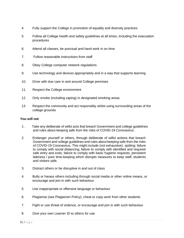- 4. Fully support the College in promotion of equality and diversity practices
- 5. Follow all College health and safety guidelines at all times, including the evacuation procedures
- 6. Attend all classes, be punctual and hand work in on time
- 7. Follow reasonable instructions from staff
- 8. Obey College computer network regulations
- 9. Use technology and devices appropriately and in a way that supports learning
- 10. Drive with due care in and around College premises
- 11. Respect the College environment
- 12. Only smoke (including vaping) in designated smoking areas.
- 13. Respect the community and act responsibly whilst using surrounding areas of the college grounds

#### **You will not**

- 1 . Take any deliberate of wilful acts that breach Government and college guidelines and rules about keeping safe from the risks of COVID-19 Coronavirus.
- 2. Endanger yourself or others, through deliberate of wilful actions that breach Government and college guidelines and rules about keeping safe from the risks of COVID-19 Coronavirus. This might include (not exhaustive): spitting; failure to comply with social distancing; failure to comply with identified and required safe entry and exits; failure to comply with basic hygiene requests; persistent lateness / poor time-keeping which disrupts measures to keep staff, students and visitors safe.
- 3. Distract others or be disruptive in and out of class
- 4. Bully or harass others including through social media or other online means, or encourage and join in with such behaviour
- 5. Use inappropriate or offensive language or behaviour
- 6. Plagiarise (see Plagiarism Policy), cheat or copy work from other students
- 7. Fight or use threat of violence, or encourage and join in with such behaviour
- 8. Give your own Learner ID to others for use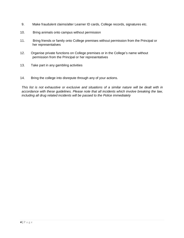- 9. Make fraudulent claims/alter Learner ID cards, College records, signatures etc.
- 10. Bring animals onto campus without permission
- 11. Bring friends or family onto College premises without permission from the Principal or her representatives
- 12. Organise private functions on College premises or in the College's name without permission from the Principal or her representatives
- 13. Take part in any gambling activities
- 14. Bring the college into disrepute through any of your actions.

*This list is not exhaustive or exclusive and situations of a similar nature will be dealt with in accordance with these guidelines. Please note that all incidents which involve breaking the law, including all drug related incidents will be passed to the Police immediately*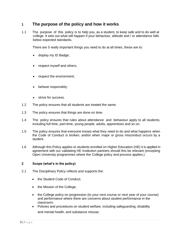## **1 The purpose of the policy and how it works**

1.1 The purpose of this policy is to help you, as a student, to keep safe and to do well at college. It sets out what will happen if your behaviour, attitude and / or attendance falls below expected standards.

There are 5 really important things you need to do at all times, these are to:

- display my ID Badge;
- respect myself and others;
- respect the environment;
- behave responsibly;
- strive for success.
- 1.2 The policy ensures that all students are treated the same.
- 1.3 The policy ensures that things are done on time.
- 1.4 The policy ensures that rules about attendance and behaviour apply to all students, including full time, part-time, young people, adults, apprentices and so on.
- 1.5 The policy ensures that everyone knows what they need to do and what happens when the Code of Conduct is broken, and/or when major or gross misconduct occurs by a student.
- 1.6 Although this Policy applies to students enrolled on Higher Education (HE) it is applied in agreement with our validating HE Institution partners should this be relevant (excepting Open University programmes where the College policy and process applies.)

#### **2 Scope (what's in the policy)**

- 2.1 The Disciplinary Policy reflects and supports the:
	- the Student Code of Conduct:
	- the Mission of the College;
	- the College policy on progression (to your next course or next year of your course) and performance where there are concerns about student performance in the classroom;
	- Policies and procedures on student welfare, including safeguarding, disability and mental health, and substance misuse;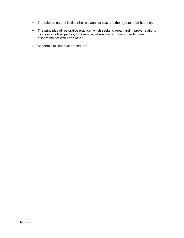- The rules of natural justice (the rule against bias and the right to a fair hearing);
- The principles of restorative practice, which seeks to repair and improve relations between involved parties, for example, where two or more students have disagreements with each other;
- Academic misconduct procedures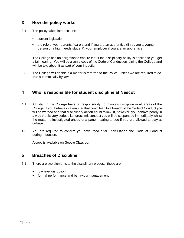## **3 How the policy works**

- 3.1 The policy takes into account:
	- current legislation;
	- the role of your parents / carers and if you are an apprentice (if you are a young person or a high needs student), your employer if you are an apprentice;
- 3.2 The College has an obligation to ensure that if the disciplinary policy is applied to you get a fair hearing. You will be given a copy of the Code of Conduct on joining the College and will be told about it as part of your induction.
- 3.3 The College will decide if a matter is referred to the Police, unless we are required to do this automatically by law.

## **4 Who is responsible for student discipline at Nescot**

- 4.1 All staff in the College have a responsibility to maintain discipline in all areas of the College. If you behave in a manner that could lead to a breach of the Code of Conduct you will be warned and that disciplinary action could follow. If, however, you behave poorly in a way that is very serious i.e. gross misconduct you will be suspended immediately whilst the matter is investigated ahead of a panel hearing to see if you are allowed to stay at college.
- 4.3 You are required to confirm you have read and understood the Code of Conduct during induction.

A copy is available on Google Classroom

### **5 Breaches of Discipline**

- 5.1 There are two elements to the disciplinary process, these are:
	- low level disruption;
	- formal performance and behaviour management.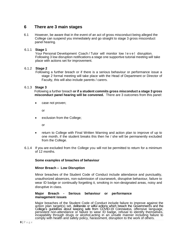## **6 There are 3 main stages**

6.1 However, be aware that in the event of an act of gross misconduct being alleged the College can suspend you immediately and go straight to stage 3 gross misconduct panel hearing.

#### 6.1.1 **Stage 1**

Your Personal Development Coach / Tutor will monitor low level disruption. Following 3 low disruption notifications a stage one supportive tutorial meeting will take place with actions set for improvement.

#### 6.1.2 **Stage 2**

 Following a further breach or if there is a serious behaviour or performance issue a stage 2 formal meeting will take place with the Head of Department or Director of Faculty, this will also include parents / carers.

#### 6.1.3 **Stage 3**

 Following a further breach **or if a student commits gross misconduct a stage 3 gross misconduct panel hearing will be convened.** There are 3 outcomes from this panel:

• case not proven;

or

exclusion from the College;

or

- return to College with Final Written Warning and action plan to improve of up to one month, if the student breaks this then he / she will be permanently excluded from the College.
- 6.1.4 If you are excluded from the College you will not be permitted to return for a minimum of 12 months.

#### **Some examples of breaches of behaviour**

#### **Minor Breach – Low Disruption**

Minor breaches of the Student Code of Conduct include attendance and punctuality, unauthorized absences, non-submission of coursework, disruptive behaviour, failure to wear ID badge or continually forgetting it, smoking in non-designated areas, noisy and disruptive in class.

#### **Major Breach - Serious behaviour or performance management issues**

Major breaches of the Student Code of Conduct include failure to improve against the action plan target(s) set, deliberate or wilful actions which breach the Government's and the College's guidelines about keeping safe from COVID-19 Coronavirus, offensive language, persistent non-attendance or failure to wear ID badge, refusal to identify themselves, incapability through drugs or alcohol,acting in an unsafe manner including failure to comply with health and safety policy, harassment, disruption to the work of others.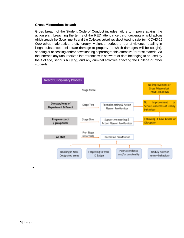#### **Gross Misconduct Breach**

Gross breach of the Student Code of Conduct includes failure to improve against the action plan, breaching the terms of the RED attendance card, deliberate or wilful actions which breach the Government's and the College's guidelines about keeping safe from COVID-19 Coronavirus malpractice, theft, forgery, violence, serious threat of violence, dealing in illegal substances, deliberate damage to property (to which damages will be sought), sending or accessing and/or downloading of pornographic/offensive/terrorist material via the internet, any unauthorized interference with software or data belonging to or used by the College, serious bullying, and any criminal activities affecting the College or other students.



•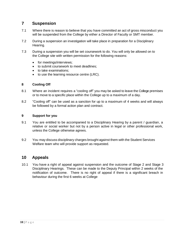## **7 Suspension**

- 7.1 Where there is reason to believe that you have committed an act of gross misconduct you will be suspended from the College by either a Director of Faculty or SMT member.
- 7.2 During a suspension an investigation will take place in preparation for a Disciplinary Hearing.
- 7.3 During a suspension you will be set coursework to do. You will only be allowed on to the College site with written permission for the following reasons:
	- for meetings/interviews;
	- to submit coursework to meet deadlines;
	- to take examinations;
	- to use the learning resource centre (LRC).

#### **8 Cooling Off**

- 8.1 Where an incident requires a "cooling off" you may be asked to leave the College premises or to move to a specific place within the College up to a maximum of a day.
- 8.2 "Cooling off" can be used as a sanction for up to a maximum of 4 weeks and will always be followed by a formal action plan and contract.

#### **9 Support for you**

- 9.1 You are entitled to be accompanied to a Disciplinary Hearing by a parent / guardian, a relative or social worker but not by a person active in legal or other professional work, unless the College otherwise agrees.
- 9.2 You may discuss disciplinary charges brought against them with the Student Services Welfare team who will provide support as requested.

## **10 Appeals**

10.1 You have a right of appeal against suspension and the outcome of Stage 2 and Stage 3 Disciplinary Hearings. These can be made to the Deputy Principal within 2 weeks of the notification of outcome. There is no right of appeal if there is a significant breach in behaviour during the first 6 weeks at College